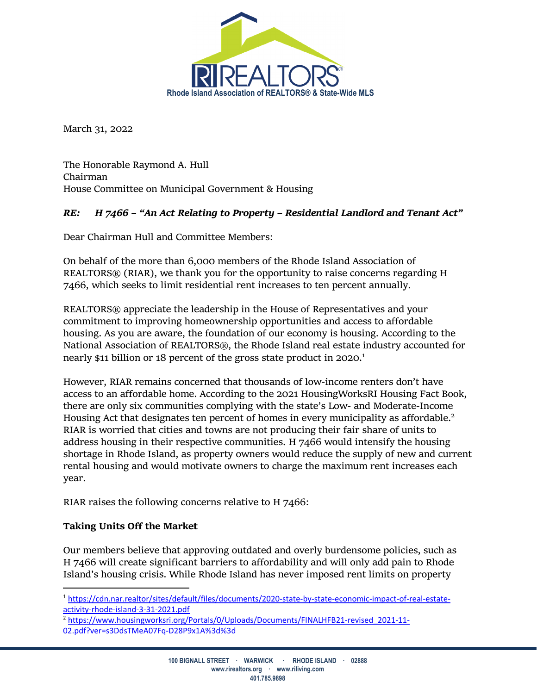

March 31, 2022

The Honorable Raymond A. Hull Chairman House Committee on Municipal Government & Housing

# *RE: H 7466 – "An Act Relating to Property – Residential Landlord and Tenant Act"*

Dear Chairman Hull and Committee Members:

On behalf of the more than 6,000 members of the Rhode Island Association of REALTORS® (RIAR), we thank you for the opportunity to raise concerns regarding H 7466, which seeks to limit residential rent increases to ten percent annually.

REALTORS® appreciate the leadership in the House of Representatives and your commitment to improving homeownership opportunities and access to affordable housing. As you are aware, the foundation of our economy is housing. According to the National Association of REALTORS®, the Rhode Island real estate industry accounted for nearly \$11 billion or 18 percent of the gross state product in 2020.<sup>1</sup>

However, RIAR remains concerned that thousands of low‐income renters don't have access to an affordable home. According to the 2021 HousingWorksRI Housing Fact Book, there are only six communities complying with the state's Low‐ and Moderate‐Income Housing Act that designates ten percent of homes in every municipality as affordable.<sup>2</sup> RIAR is worried that cities and towns are not producing their fair share of units to address housing in their respective communities. H 7466 would intensify the housing shortage in Rhode Island, as property owners would reduce the supply of new and current rental housing and would motivate owners to charge the maximum rent increases each year.

RIAR raises the following concerns relative to H 7466:

## **Taking Units Off the Market**

Our members believe that approving outdated and overly burdensome policies, such as H 7466 will create significant barriers to affordability and will only add pain to Rhode Island's housing crisis. While Rhode Island has never imposed rent limits on property

<sup>1</sup> https://cdn.nar.realtor/sites/default/files/documents/2020‐state‐by‐state‐economic‐impact‐of‐real‐estate‐ activity‐rhode‐island‐3‐31‐2021.pdf

<sup>&</sup>lt;sup>2</sup> https://www.housingworksri.org/Portals/0/Uploads/Documents/FINALHFB21-revised\_2021-11-02.pdf?ver=s3DdsTMeA07Fq‐D28P9x1A%3d%3d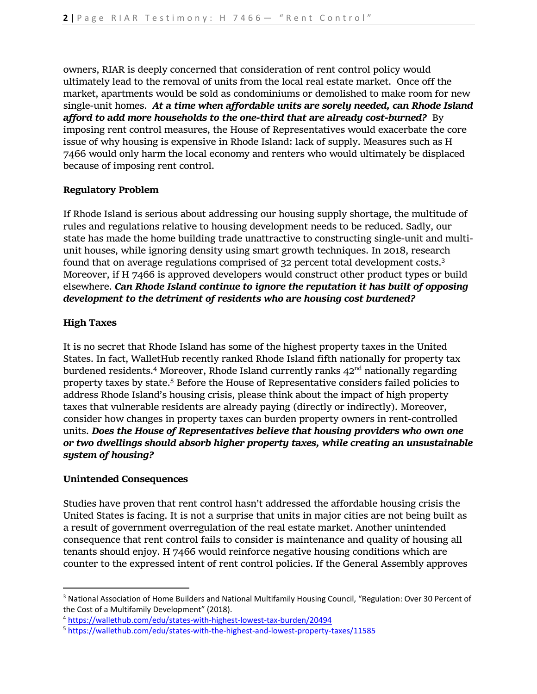owners, RIAR is deeply concerned that consideration of rent control policy would ultimately lead to the removal of units from the local real estate market. Once off the market, apartments would be sold as condominiums or demolished to make room for new single‐unit homes. *At a time when affordable units are sorely needed, can Rhode Island afford to add more households to the one‐third that are already cost‐burned?* By imposing rent control measures, the House of Representatives would exacerbate the core issue of why housing is expensive in Rhode Island: lack of supply. Measures such as H 7466 would only harm the local economy and renters who would ultimately be displaced because of imposing rent control.

## **Regulatory Problem**

If Rhode Island is serious about addressing our housing supply shortage, the multitude of rules and regulations relative to housing development needs to be reduced. Sadly, our state has made the home building trade unattractive to constructing single-unit and multiunit houses, while ignoring density using smart growth techniques. In 2018, research found that on average regulations comprised of 32 percent total development costs.3 Moreover, if H 7466 is approved developers would construct other product types or build elsewhere. *Can Rhode Island continue to ignore the reputation it has built of opposing development to the detriment of residents who are housing cost burdened?*

# **High Taxes**

It is no secret that Rhode Island has some of the highest property taxes in the United States. In fact, WalletHub recently ranked Rhode Island fifth nationally for property tax burdened residents.<sup>4</sup> Moreover, Rhode Island currently ranks  $42<sup>nd</sup>$  nationally regarding property taxes by state.5 Before the House of Representative considers failed policies to address Rhode Island's housing crisis, please think about the impact of high property taxes that vulnerable residents are already paying (directly or indirectly). Moreover, consider how changes in property taxes can burden property owners in rent‐controlled units. *Does the House of Representatives believe that housing providers who own one or two dwellings should absorb higher property taxes, while creating an unsustainable system of housing?*

## **Unintended Consequences**

Studies have proven that rent control hasn't addressed the affordable housing crisis the United States is facing. It is not a surprise that units in major cities are not being built as a result of government overregulation of the real estate market. Another unintended consequence that rent control fails to consider is maintenance and quality of housing all tenants should enjoy. H 7466 would reinforce negative housing conditions which are counter to the expressed intent of rent control policies. If the General Assembly approves

<sup>3</sup> National Association of Home Builders and National Multifamily Housing Council, "Regulation: Over 30 Percent of the Cost of a Multifamily Development" (2018).

<sup>4</sup> https://wallethub.com/edu/states‐with‐highest‐lowest‐tax‐burden/20494

<sup>5</sup> https://wallethub.com/edu/states-with-the-highest-and-lowest-property-taxes/11585